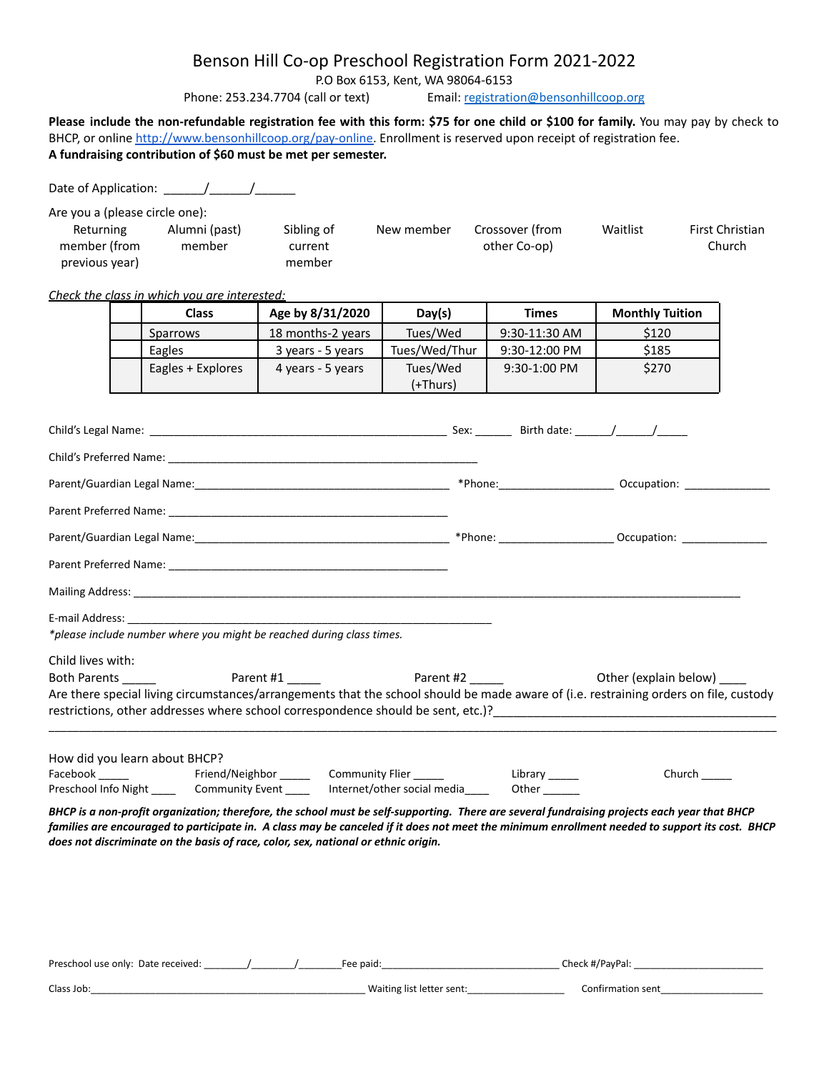### Benson Hill Co-op Preschool Registration Form 2021-2022

P.O Box 6153, Kent, WA 98064-6153

Phone: 253.234.7704 (call or text) Email: [registration@bensonhillcoop.org](mailto:registration@bensonhillcoop.org)

Please include the non-refundable registration fee with this form: \$75 for one child or \$100 for family. You may pay by check to BHCP, or online [http://www.bensonhillcoop.org/pay-online.](http://www.bensonhillcoop.org/pay-online) Enrollment is reserved upon receipt of registration fee. **A fundraising contribution of \$60 must be met per semester.**

Date of Application: \_\_\_\_\_\_/\_\_\_\_\_\_/\_\_\_\_\_\_

Are you a (please circle one):

| Returning      | Alumni (past) | Sibling of | New member | Crossover (from | Waitlist | First Christian |
|----------------|---------------|------------|------------|-----------------|----------|-----------------|
| member (from   | member        | current    |            | other Co-op)    |          | Church          |
| previous year) |               | member     |            |                 |          |                 |

#### *Check the class in which you are interested:*

| Class             | Age by 8/31/2020  | Day(s)        | <b>Times</b>    | <b>Monthly Tuition</b> |
|-------------------|-------------------|---------------|-----------------|------------------------|
| Sparrows          | 18 months-2 years | Tues/Wed      | $9:30-11:30$ AM | \$120                  |
| Eagles            | 3 years - 5 years | Tues/Wed/Thur | $9:30-12:00$ PM | \$185                  |
| Eagles + Explores | 4 years - 5 years | Tues/Wed      | $9:30-1:00$ PM  | \$270                  |
|                   |                   | (+Thurs)      |                 |                        |

|                               |                                                                                                                   |  | *Phone: ________________________ Occupation: ___________________________________                                                                                                                                                  |
|-------------------------------|-------------------------------------------------------------------------------------------------------------------|--|-----------------------------------------------------------------------------------------------------------------------------------------------------------------------------------------------------------------------------------|
|                               |                                                                                                                   |  |                                                                                                                                                                                                                                   |
|                               |                                                                                                                   |  |                                                                                                                                                                                                                                   |
|                               |                                                                                                                   |  |                                                                                                                                                                                                                                   |
|                               |                                                                                                                   |  |                                                                                                                                                                                                                                   |
|                               |                                                                                                                   |  |                                                                                                                                                                                                                                   |
|                               | *please include number where you might be reached during class times.                                             |  |                                                                                                                                                                                                                                   |
| Child lives with:             |                                                                                                                   |  |                                                                                                                                                                                                                                   |
|                               |                                                                                                                   |  |                                                                                                                                                                                                                                   |
|                               |                                                                                                                   |  | Are there special living circumstances/arrangements that the school should be made aware of (i.e. restraining orders on file, custody                                                                                             |
|                               |                                                                                                                   |  | restrictions, other addresses where school correspondence should be sent, etc.)?<br>The sent, etc.)<br>2. The sent of the sent of the sent of the sent of the sent of the sent of the sent of the sense of the sense of the sense |
|                               |                                                                                                                   |  |                                                                                                                                                                                                                                   |
| How did you learn about BHCP? |                                                                                                                   |  |                                                                                                                                                                                                                                   |
|                               |                                                                                                                   |  | Church $\_\_$                                                                                                                                                                                                                     |
|                               | Preschool Info Night _________ Community Event _________ Internet/other social media_______________ Other _______ |  |                                                                                                                                                                                                                                   |

*BHCP is a non-profit organization; therefore, the school must be self-supporting. There are several fundraising projects each year that BHCP families are encouraged to participate in. A class may be canceled if it does not meet the minimum enrollment needed to support its cost. BHCP does not discriminate on the basis of race, color, sex, national or ethnic origin.*

| Preschool use only: | Date received: | paid:<br>$-\theta$ | av <sup>p-</sup><br>B<br>. ан |  |
|---------------------|----------------|--------------------|-------------------------------|--|
|                     |                |                    |                               |  |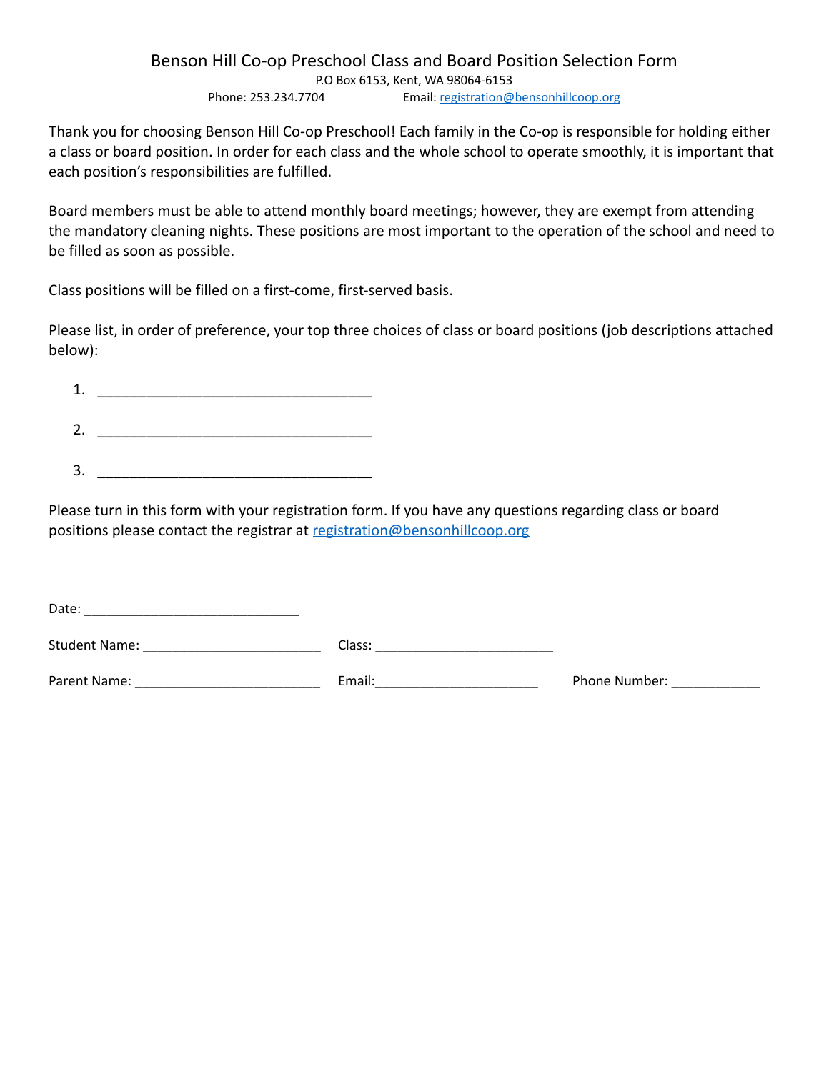#### Benson Hill Co-op Preschool Class and Board Position Selection Form P.O Box 6153, Kent, WA 98064-6153 Phone: 253.234.7704 Email: [registration@bensonhillcoop.org](mailto:registration@bensonhillcoop.org)

Thank you for choosing Benson Hill Co-op Preschool! Each family in the Co-op is responsible for holding either a class or board position. In order for each class and the whole school to operate smoothly, it is important that each position's responsibilities are fulfilled.

Board members must be able to attend monthly board meetings; however, they are exempt from attending the mandatory cleaning nights. These positions are most important to the operation of the school and need to be filled as soon as possible.

Class positions will be filled on a first-come, first-served basis.

Please list, in order of preference, your top three choices of class or board positions (job descriptions attached below):

| ۰<br>T |  |
|--------|--|
| 2      |  |
| 3      |  |

Please turn in this form with your registration form. If you have any questions regarding class or board [po](mailto:registration@bensonhillcoop.org)sitions please contact the registrar at [registration@bensonhillcoop.org](mailto:registration@bensonhillcoop.org)

| Date:                |        |               |
|----------------------|--------|---------------|
| <b>Student Name:</b> | Class: |               |
| Parent Name:         | Email: | Phone Number: |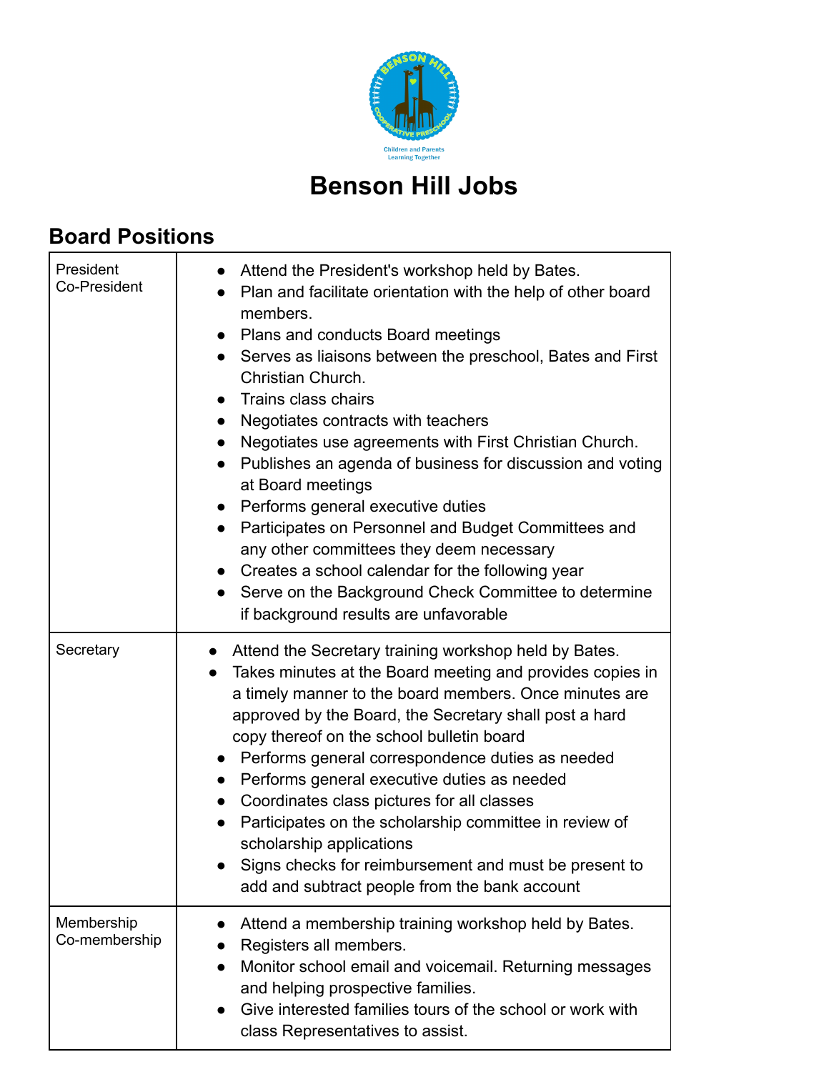

# **Benson Hill Jobs**

## **Board Positions**

| President<br>Co-President   | Attend the President's workshop held by Bates.<br>Plan and facilitate orientation with the help of other board<br>members.<br>Plans and conducts Board meetings<br>Serves as liaisons between the preschool, Bates and First<br>$\bullet$<br>Christian Church.<br>Trains class chairs<br>Negotiates contracts with teachers<br>Negotiates use agreements with First Christian Church.<br>Publishes an agenda of business for discussion and voting<br>at Board meetings<br>Performs general executive duties<br>Participates on Personnel and Budget Committees and<br>any other committees they deem necessary<br>Creates a school calendar for the following year<br>Serve on the Background Check Committee to determine<br>if background results are unfavorable |
|-----------------------------|----------------------------------------------------------------------------------------------------------------------------------------------------------------------------------------------------------------------------------------------------------------------------------------------------------------------------------------------------------------------------------------------------------------------------------------------------------------------------------------------------------------------------------------------------------------------------------------------------------------------------------------------------------------------------------------------------------------------------------------------------------------------|
| Secretary                   | Attend the Secretary training workshop held by Bates.<br>Takes minutes at the Board meeting and provides copies in<br>a timely manner to the board members. Once minutes are<br>approved by the Board, the Secretary shall post a hard<br>copy thereof on the school bulletin board<br>Performs general correspondence duties as needed<br>Performs general executive duties as needed<br>Coordinates class pictures for all classes<br>$\bullet$<br>Participates on the scholarship committee in review of<br>scholarship applications<br>Signs checks for reimbursement and must be present to<br>add and subtract people from the bank account                                                                                                                    |
| Membership<br>Co-membership | Attend a membership training workshop held by Bates.<br>Registers all members.<br>Monitor school email and voicemail. Returning messages<br>and helping prospective families.<br>Give interested families tours of the school or work with<br>class Representatives to assist.                                                                                                                                                                                                                                                                                                                                                                                                                                                                                       |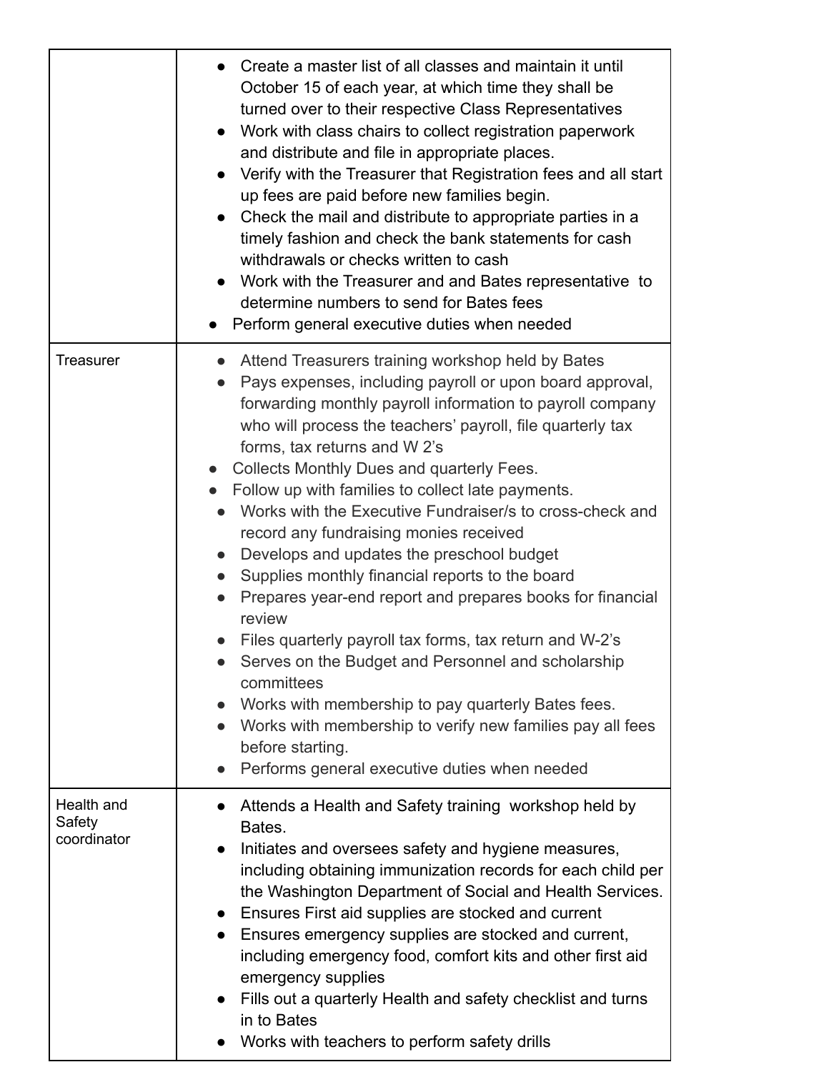|                                     | Create a master list of all classes and maintain it until<br>October 15 of each year, at which time they shall be<br>turned over to their respective Class Representatives<br>Work with class chairs to collect registration paperwork<br>and distribute and file in appropriate places.<br>Verify with the Treasurer that Registration fees and all start<br>up fees are paid before new families begin.<br>• Check the mail and distribute to appropriate parties in a<br>timely fashion and check the bank statements for cash<br>withdrawals or checks written to cash<br>Work with the Treasurer and and Bates representative to<br>determine numbers to send for Bates fees<br>Perform general executive duties when needed                                                                                                                                                                                                                                                                        |
|-------------------------------------|----------------------------------------------------------------------------------------------------------------------------------------------------------------------------------------------------------------------------------------------------------------------------------------------------------------------------------------------------------------------------------------------------------------------------------------------------------------------------------------------------------------------------------------------------------------------------------------------------------------------------------------------------------------------------------------------------------------------------------------------------------------------------------------------------------------------------------------------------------------------------------------------------------------------------------------------------------------------------------------------------------|
| <b>Treasurer</b>                    | Attend Treasurers training workshop held by Bates<br>Pays expenses, including payroll or upon board approval,<br>forwarding monthly payroll information to payroll company<br>who will process the teachers' payroll, file quarterly tax<br>forms, tax returns and W 2's<br>Collects Monthly Dues and quarterly Fees.<br>Follow up with families to collect late payments.<br>Works with the Executive Fundraiser/s to cross-check and<br>record any fundraising monies received<br>Develops and updates the preschool budget<br>Supplies monthly financial reports to the board<br>Prepares year-end report and prepares books for financial<br>review<br>Files quarterly payroll tax forms, tax return and W-2's<br>Serves on the Budget and Personnel and scholarship<br>committees<br>Works with membership to pay quarterly Bates fees.<br>$\bullet$<br>Works with membership to verify new families pay all fees<br>$\bullet$<br>before starting.<br>Performs general executive duties when needed |
| Health and<br>Safety<br>coordinator | Attends a Health and Safety training workshop held by<br>Bates.<br>Initiates and oversees safety and hygiene measures,<br>$\bullet$<br>including obtaining immunization records for each child per<br>the Washington Department of Social and Health Services.<br>Ensures First aid supplies are stocked and current<br>Ensures emergency supplies are stocked and current,<br>including emergency food, comfort kits and other first aid<br>emergency supplies<br>Fills out a quarterly Health and safety checklist and turns<br>in to Bates<br>Works with teachers to perform safety drills                                                                                                                                                                                                                                                                                                                                                                                                            |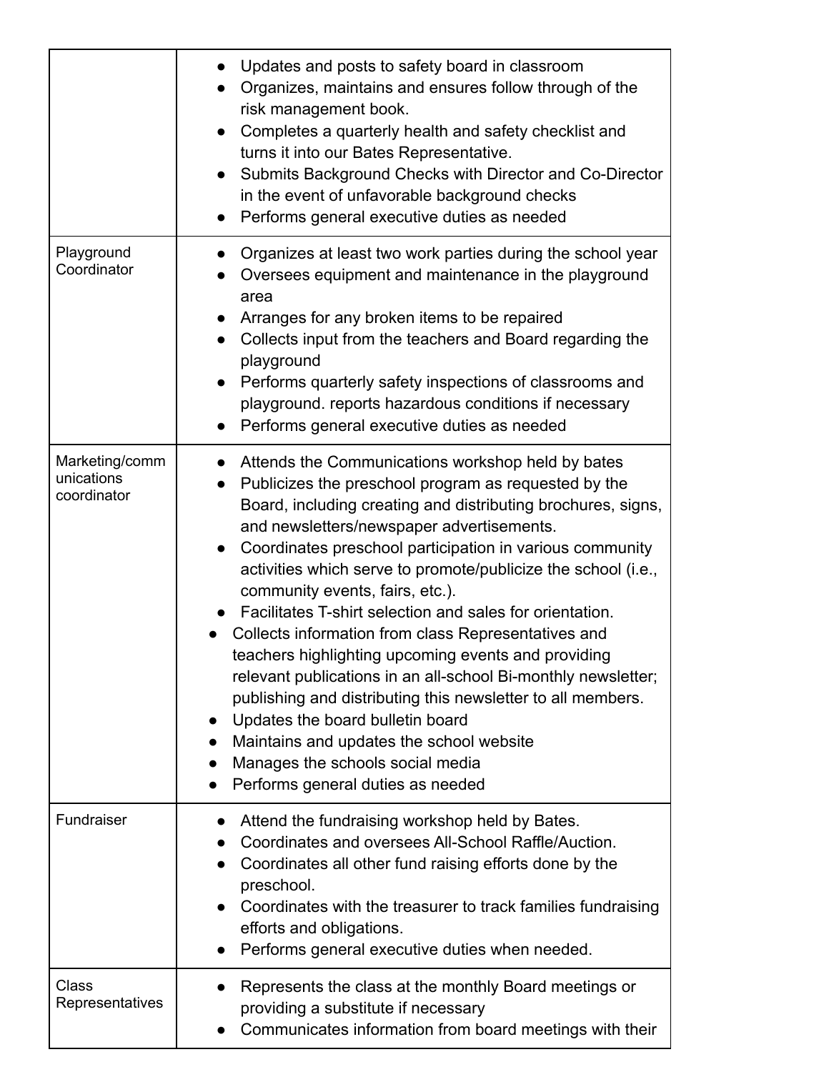|                                             | Updates and posts to safety board in classroom<br>Organizes, maintains and ensures follow through of the<br>risk management book.<br>Completes a quarterly health and safety checklist and<br>turns it into our Bates Representative.<br>Submits Background Checks with Director and Co-Director<br>in the event of unfavorable background checks<br>Performs general executive duties as needed                                                                                                                                                                                                                                                                                                                                                                                                                                                          |
|---------------------------------------------|-----------------------------------------------------------------------------------------------------------------------------------------------------------------------------------------------------------------------------------------------------------------------------------------------------------------------------------------------------------------------------------------------------------------------------------------------------------------------------------------------------------------------------------------------------------------------------------------------------------------------------------------------------------------------------------------------------------------------------------------------------------------------------------------------------------------------------------------------------------|
| Playground<br>Coordinator                   | Organizes at least two work parties during the school year<br>Oversees equipment and maintenance in the playground<br>area<br>Arranges for any broken items to be repaired<br>Collects input from the teachers and Board regarding the<br>playground<br>Performs quarterly safety inspections of classrooms and<br>playground. reports hazardous conditions if necessary<br>Performs general executive duties as needed                                                                                                                                                                                                                                                                                                                                                                                                                                   |
| Marketing/comm<br>unications<br>coordinator | Attends the Communications workshop held by bates<br>Publicizes the preschool program as requested by the<br>Board, including creating and distributing brochures, signs,<br>and newsletters/newspaper advertisements.<br>Coordinates preschool participation in various community<br>activities which serve to promote/publicize the school (i.e.,<br>community events, fairs, etc.).<br>Facilitates T-shirt selection and sales for orientation.<br>Collects information from class Representatives and<br>teachers highlighting upcoming events and providing<br>relevant publications in an all-school Bi-monthly newsletter;<br>publishing and distributing this newsletter to all members.<br>Updates the board bulletin board<br>Maintains and updates the school website<br>Manages the schools social media<br>Performs general duties as needed |
| Fundraiser                                  | Attend the fundraising workshop held by Bates.<br>Coordinates and oversees All-School Raffle/Auction.<br>Coordinates all other fund raising efforts done by the<br>preschool.<br>Coordinates with the treasurer to track families fundraising<br>efforts and obligations.<br>Performs general executive duties when needed.                                                                                                                                                                                                                                                                                                                                                                                                                                                                                                                               |
| <b>Class</b><br>Representatives             | Represents the class at the monthly Board meetings or<br>providing a substitute if necessary<br>Communicates information from board meetings with their                                                                                                                                                                                                                                                                                                                                                                                                                                                                                                                                                                                                                                                                                                   |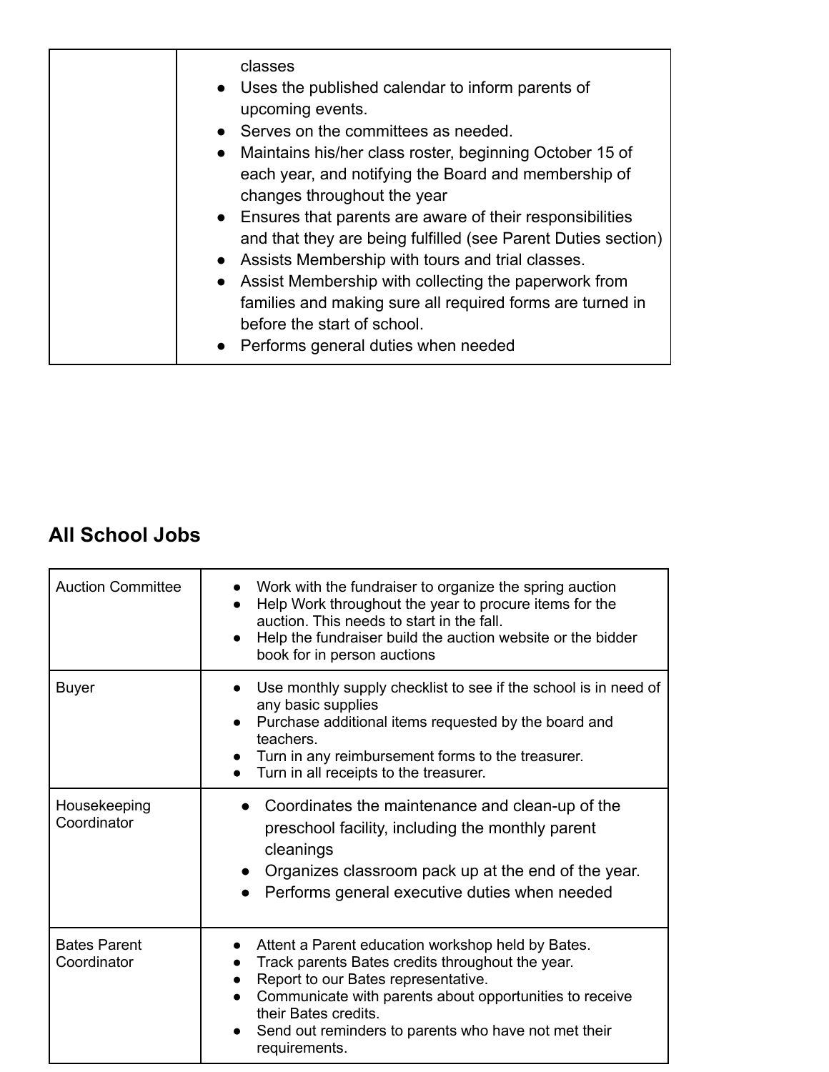| classes<br>• Uses the published calendar to inform parents of<br>upcoming events.<br>• Serves on the committees as needed.<br>• Maintains his/her class roster, beginning October 15 of<br>each year, and notifying the Board and membership of<br>changes throughout the year<br>• Ensures that parents are aware of their responsibilities<br>and that they are being fulfilled (see Parent Duties section)<br>• Assists Membership with tours and trial classes.<br>• Assist Membership with collecting the paperwork from<br>families and making sure all required forms are turned in |
|--------------------------------------------------------------------------------------------------------------------------------------------------------------------------------------------------------------------------------------------------------------------------------------------------------------------------------------------------------------------------------------------------------------------------------------------------------------------------------------------------------------------------------------------------------------------------------------------|
| before the start of school.<br>• Performs general duties when needed                                                                                                                                                                                                                                                                                                                                                                                                                                                                                                                       |

### **All School Jobs**

| <b>Auction Committee</b>           | Work with the fundraiser to organize the spring auction<br>Help Work throughout the year to procure items for the<br>auction. This needs to start in the fall.<br>Help the fundraiser build the auction website or the bidder<br>book for in person auctions                                             |
|------------------------------------|----------------------------------------------------------------------------------------------------------------------------------------------------------------------------------------------------------------------------------------------------------------------------------------------------------|
| <b>Buyer</b>                       | Use monthly supply checklist to see if the school is in need of<br>any basic supplies<br>Purchase additional items requested by the board and<br>teachers.<br>Turn in any reimbursement forms to the treasurer.<br>Turn in all receipts to the treasurer.                                                |
| Housekeeping<br>Coordinator        | Coordinates the maintenance and clean-up of the<br>preschool facility, including the monthly parent<br>cleanings<br>Organizes classroom pack up at the end of the year.<br>Performs general executive duties when needed                                                                                 |
| <b>Bates Parent</b><br>Coordinator | Attent a Parent education workshop held by Bates.<br>Track parents Bates credits throughout the year.<br>Report to our Bates representative.<br>Communicate with parents about opportunities to receive<br>their Bates credits.<br>Send out reminders to parents who have not met their<br>requirements. |